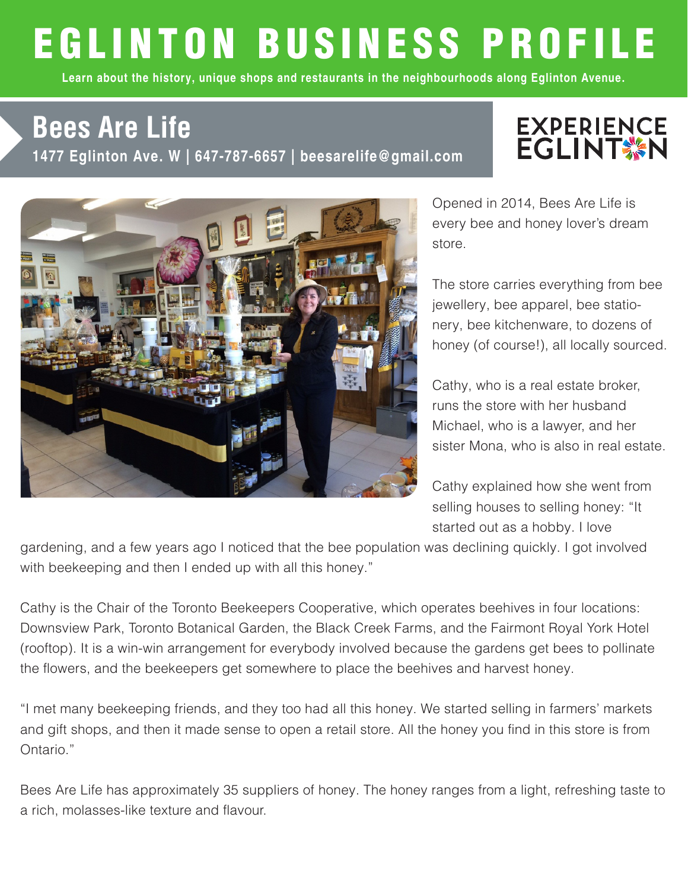## EGLINTON BUSINESS PROFILE

Learn about the history, unique shops and restaurants in the neighbourhoods along Eglinton Avenue.

## 1477 Eglinton Ave. W | 647-787-6657 | beesarelife@gmail.com **Bees Are Life**

## **EXPERIENCE**<br>EGLINT SAN



Opened in 2014, Bees Are Life is every bee and honey lover's dream store.

The store carries everything from bee jewellery, bee apparel, bee stationery, bee kitchenware, to dozens of honey (of course!), all locally sourced.

Cathy, who is a real estate broker, runs the store with her husband Michael, who is a lawyer, and her sister Mona, who is also in real estate.

Cathy explained how she went from selling houses to selling honey: "It started out as a hobby. I love

gardening, and a few years ago I noticed that the bee population was declining quickly. I got involved with beekeeping and then I ended up with all this honey."

Cathy is the Chair of the Toronto Beekeepers Cooperative, which operates beehives in four locations: Downsview Park, Toronto Botanical Garden, the Black Creek Farms, and the Fairmont Royal York Hotel (rooftop). It is a win-win arrangement for everybody involved because the gardens get bees to pollinate the flowers, and the beekeepers get somewhere to place the beehives and harvest honey.

"I met many beekeeping friends, and they too had all this honey. We started selling in farmers' markets and gift shops, and then it made sense to open a retail store. All the honey you find in this store is from Ontario."

Bees Are Life has approximately 35 suppliers of honey. The honey ranges from a light, refreshing taste to a rich, molasses-like texture and flavour.